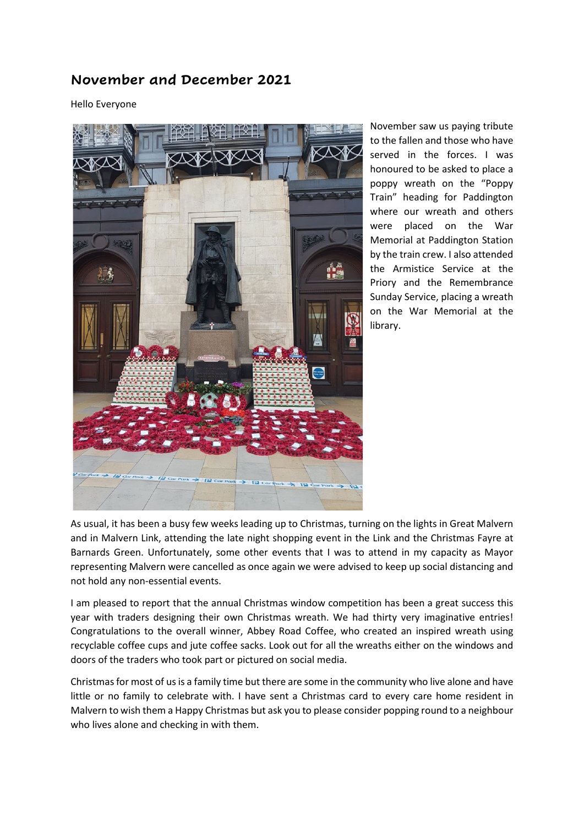## **November and December 2021**

Hello Everyone



November saw us paying tribute to the fallen and those who have served in the forces. I was honoured to be asked to place a poppy wreath on the "Poppy Train" heading for Paddington where our wreath and others were placed on the War Memorial at Paddington Station by the train crew. I also attended the Armistice Service at the Priory and the Remembrance Sunday Service, placing a wreath on the War Memorial at the library.

As usual, it has been a busy few weeks leading up to Christmas, turning on the lights in Great Malvern and in Malvern Link, attending the late night shopping event in the Link and the Christmas Fayre at Barnards Green. Unfortunately, some other events that I was to attend in my capacity as Mayor representing Malvern were cancelled as once again we were advised to keep up social distancing and not hold any non-essential events.

I am pleased to report that the annual Christmas window competition has been a great success this year with traders designing their own Christmas wreath. We had thirty very imaginative entries! Congratulations to the overall winner, Abbey Road Coffee, who created an inspired wreath using recyclable coffee cups and jute coffee sacks. Look out for all the wreaths either on the windows and doors of the traders who took part or pictured on social media.

Christmas for most of us is a family time but there are some in the community who live alone and have little or no family to celebrate with. I have sent a Christmas card to every care home resident in Malvern to wish them a Happy Christmas but ask you to please consider popping round to a neighbour who lives alone and checking in with them.